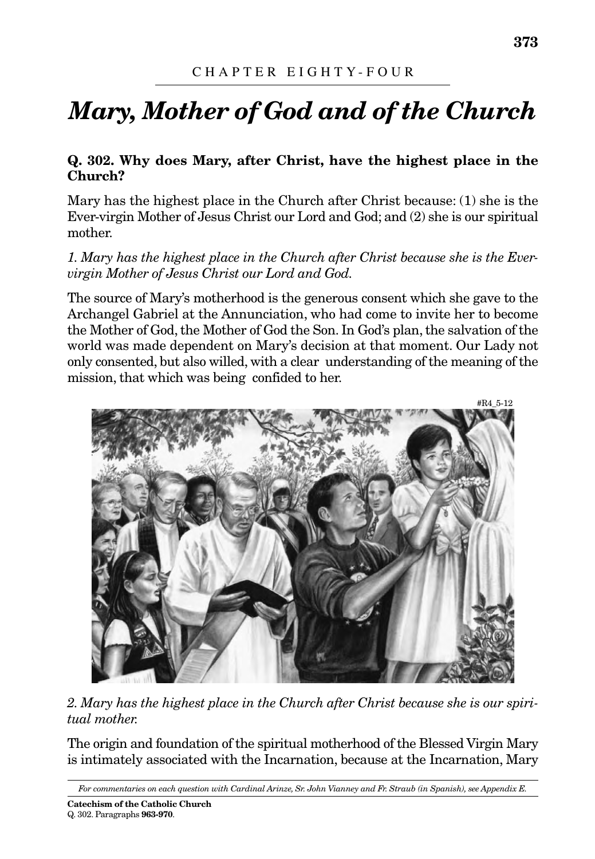# *Mary, Mother of God and of the Church*

## **Q. 302. Why does Mary, after Christ, have the highest place in the Church?**

Mary has the highest place in the Church after Christ because: (1) she is the Ever-virgin Mother of Jesus Christ our Lord and God; and (2) she is our spiritual mother.

## *1. Mary has the highest place in the Church after Christ because she is the Evervirgin Mother of Jesus Christ our Lord and God.*

The source of Mary's motherhood is the generous consent which she gave to the Archangel Gabriel at the Annunciation, who had come to invite her to become the Mother of God, the Mother of God the Son. In God's plan, the salvation of the world was made dependent on Mary's decision at that moment. Our Lady not only consented, but also willed, with a clear understanding of the meaning of the mission, that which was being confided to her.



*2. Mary has the highest place in the Church after Christ because she is our spiritual mother.*

The origin and foundation of the spiritual motherhood of the Blessed Virgin Mary is intimately associated with the Incarnation, because at the Incarnation, Mary

**Catechism of the Catholic Church** Q. 302. Paragraphs **963-970**.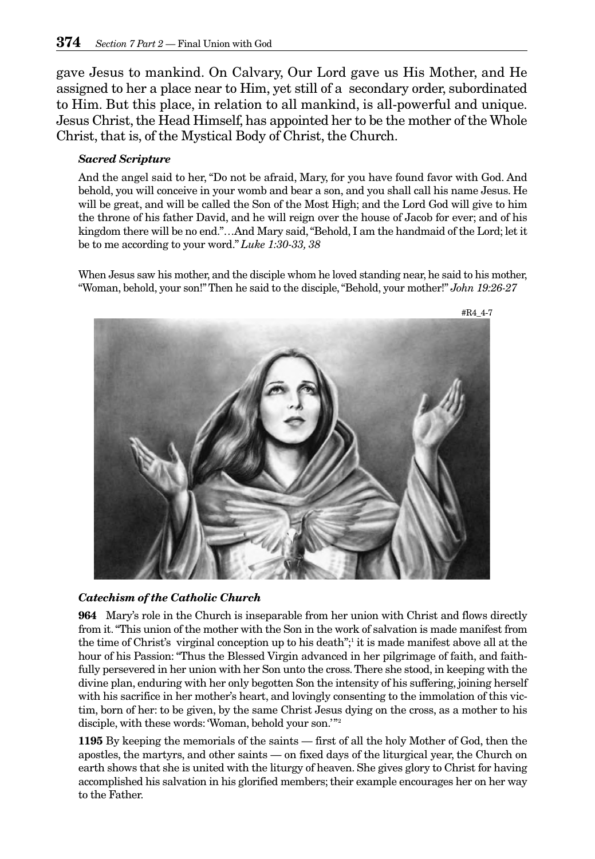gave Jesus to mankind. On Calvary, Our Lord gave us His Mother, and He assigned to her a place near to Him, yet still of a secondary order, subordinated to Him. But this place, in relation to all mankind, is all-powerful and unique. Jesus Christ, the Head Himself, has appointed her to be the mother of the Whole Christ, that is, of the Mystical Body of Christ, the Church.

#### *Sacred Scripture*

And the angel said to her, "Do not be afraid, Mary, for you have found favor with God. And behold, you will conceive in your womb and bear a son, and you shall call his name Jesus. He will be great, and will be called the Son of the Most High; and the Lord God will give to him the throne of his father David, and he will reign over the house of Jacob for ever; and of his kingdom there will be no end."...And Mary said, "Behold, I am the handmaid of the Lord; let it be to me according to your word." *Luke 1:30-33, 38*

When Jesus saw his mother, and the disciple whom he loved standing near, he said to his mother, "Woman, behold, your son!" Then he said to the disciple, "Behold, your mother!" *John 19:26-27*



#### *Catechism of the Catholic Church*

**964** Mary's role in the Church is inseparable from her union with Christ and flows directly from it."This union of the mother with the Son in the work of salvation is made manifest from the time of Christ's virginal conception up to his death";<sup>1</sup> it is made manifest above all at the hour of his Passion: "Thus the Blessed Virgin advanced in her pilgrimage of faith, and faithfully persevered in her union with her Son unto the cross.There she stood, in keeping with the divine plan, enduring with her only begotten Son the intensity of his suffering, joining herself with his sacrifice in her mother's heart, and lovingly consenting to the immolation of this victim, born of her: to be given, by the same Christ Jesus dying on the cross, as a mother to his disciple, with these words: 'Woman, behold your son.'"<sup>2</sup>

**1195** By keeping the memorials of the saints — first of all the holy Mother of God, then the apostles, the martyrs, and other saints — on fixed days of the liturgical year, the Church on earth shows that she is united with the liturgy of heaven. She gives glory to Christ for having accomplished his salvation in his glorified members; their example encourages her on her way to the Father.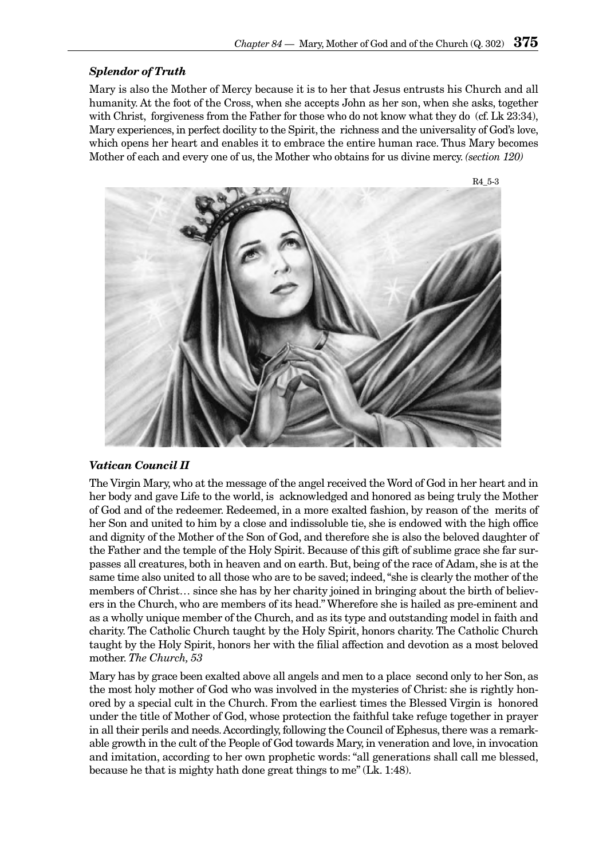#### *Splendor of Truth*

Mary is also the Mother of Mercy because it is to her that Jesus entrusts his Church and all humanity. At the foot of the Cross, when she accepts John as her son, when she asks, together with Christ, forgiveness from the Father for those who do not know what they do (cf. Lk 23:34), Mary experiences, in perfect docility to the Spirit, the richness and the universality of God's love, which opens her heart and enables it to embrace the entire human race. Thus Mary becomes Mother of each and every one of us, the Mother who obtains for us divine mercy. *(section 120)*



#### *Vatican Council II*

The Virgin Mary, who at the message of the angel received the Word of God in her heart and in her body and gave Life to the world, is acknowledged and honored as being truly the Mother of God and of the redeemer. Redeemed, in a more exalted fashion, by reason of the merits of her Son and united to him by a close and indissoluble tie, she is endowed with the high office and dignity of the Mother of the Son of God, and therefore she is also the beloved daughter of the Father and the temple of the Holy Spirit. Because of this gift of sublime grace she far surpasses all creatures, both in heaven and on earth. But, being of the race of Adam, she is at the same time also united to all those who are to be saved; indeed,"she is clearly the mother of the members of Christ... since she has by her charity joined in bringing about the birth of believers in the Church, who are members of its head." Wherefore she is hailed as pre-eminent and as a wholly unique member of the Church, and as its type and outstanding model in faith and charity. The Catholic Church taught by the Holy Spirit, honors charity. The Catholic Church taught by the Holy Spirit, honors her with the filial affection and devotion as a most beloved mother. *The Church, 53*

Mary has by grace been exalted above all angels and men to a place second only to her Son, as the most holy mother of God who was involved in the mysteries of Christ: she is rightly honored by a special cult in the Church. From the earliest times the Blessed Virgin is honored under the title of Mother of God, whose protection the faithful take refuge together in prayer in all their perils and needs.Accordingly, following the Council of Ephesus, there was a remarkable growth in the cult of the People of God towards Mary, in veneration and love, in invocation and imitation, according to her own prophetic words: "all generations shall call me blessed, because he that is mighty hath done great things to me" (Lk. 1:48).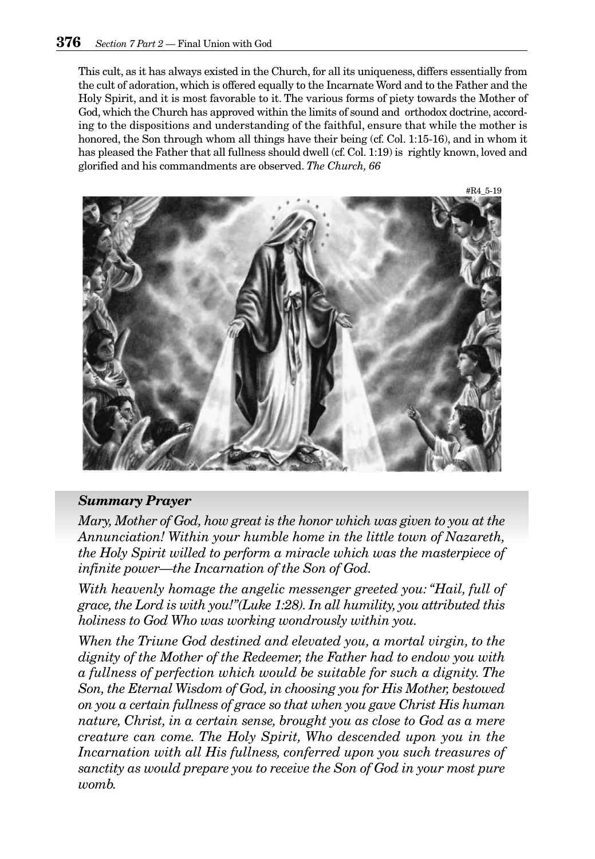This cult, as it has always existed in the Church, for all its uniqueness, differs essentially from the cult of adoration, which is offered equally to the Incarnate Word and to the Father and the Holy Spirit, and it is most favorable to it. The various forms of piety towards the Mother of God, which the Church has approved within the limits of sound and orthodox doctrine, according to the dispositions and understanding of the faithful, ensure that while the mother is honored, the Son through whom all things have their being (cf. Col. 1:15-16), and in whom it has pleased the Father that all fullness should dwell (cf. Col. 1:19) is rightly known, loved and glorified and his commandments are observed. *The Church, 66*



## *Summary Prayer*

*Mary, Mother of God, how great is the honor which was given to you at the Annunciation! Within your humble home in the little town of Nazareth, the Holy Spirit willed to perform a miracle which was the masterpiece of infinite power—the Incarnation of the Son of God.*

*With heavenly homage the angelic messenger greeted you: "Hail, full of grace, the Lord is with you!"(Luke 1:28). In all humility, you attributed this holiness to God Who was working wondrously within you.*

*When the Triune God destined and elevated you, a mortal virgin, to the dignity of the Mother of the Redeemer, the Father had to endow you with a fullness of perfection which would be suitable for such a dignity. The Son, the Eternal Wisdom of God, in choosing you for His Mother, bestowed on you a certain fullness of grace so that when you gave Christ His human nature, Christ, in a certain sense, brought you as close to God as a mere creature can come. The Holy Spirit, Who descended upon you in the Incarnation with all His fullness, conferred upon you such treasures of sanctity as would prepare you to receive the Son of God in your most pure womb.*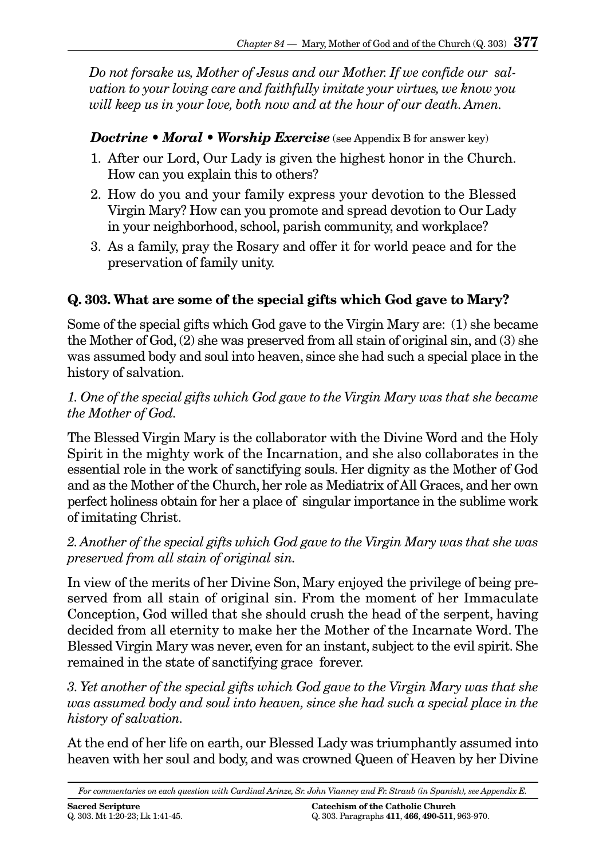*Do not forsake us, Mother of Jesus and our Mother. If we confide our salvation to your loving care and faithfully imitate your virtues, we know you will keep us in your love, both now and at the hour of our death. Amen.*

# *Doctrine • Moral • Worship Exercise* (see Appendix B for answer key)

- 1. After our Lord, Our Lady is given the highest honor in the Church. How can you explain this to others?
- 2. How do you and your family express your devotion to the Blessed Virgin Mary? How can you promote and spread devotion to Our Lady in your neighborhood, school, parish community, and workplace?
- 3. As a family, pray the Rosary and offer it for world peace and for the preservation of family unity.

# **Q. 303. What are some of the special gifts which God gave to Mary?**

Some of the special gifts which God gave to the Virgin Mary are: (1) she became the Mother of God, (2) she was preserved from all stain of original sin, and (3) she was assumed body and soul into heaven, since she had such a special place in the history of salvation.

## *1. One of the special gifts which God gave to the Virgin Mary was that she became the Mother of God.*

The Blessed Virgin Mary is the collaborator with the Divine Word and the Holy Spirit in the mighty work of the Incarnation, and she also collaborates in the essential role in the work of sanctifying souls. Her dignity as the Mother of God and as the Mother of the Church, her role as Mediatrix of All Graces, and her own perfect holiness obtain for her a place of singular importance in the sublime work of imitating Christ.

# *2.Another of the special gifts which God gave to the Virgin Mary was that she was preserved from all stain of original sin.*

In view of the merits of her Divine Son, Mary enjoyed the privilege of being preserved from all stain of original sin. From the moment of her Immaculate Conception, God willed that she should crush the head of the serpent, having decided from all eternity to make her the Mother of the Incarnate Word. The Blessed Virgin Mary was never, even for an instant, subject to the evil spirit. She remained in the state of sanctifying grace forever.

*3. Yet another of the special gifts which God gave to the Virgin Mary was that she was assumed body and soul into heaven, since she had such a special place in the history of salvation.*

At the end of her life on earth, our Blessed Lady was triumphantly assumed into heaven with her soul and body, and was crowned Queen of Heaven by her Divine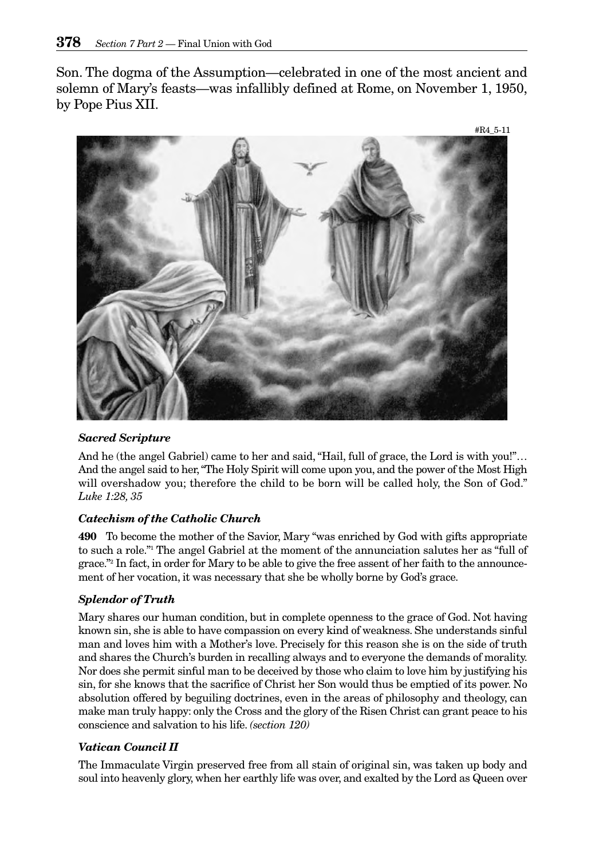Son. The dogma of the Assumption—celebrated in one of the most ancient and solemn of Mary's feasts—was infallibly defined at Rome, on November 1, 1950, by Pope Pius XII.



#### *Sacred Scripture*

And he (the angel Gabriel) came to her and said, "Hail, full of grace, the Lord is with you!"... And the angel said to her,"The Holy Spirit will come upon you, and the power of the Most High will overshadow you; therefore the child to be born will be called holy, the Son of God." *Luke 1:28, 35*

#### *Catechism of the Catholic Church*

**490** To become the mother of the Savior, Mary "was enriched by God with gifts appropriate to such a role."1 The angel Gabriel at the moment of the annunciation salutes her as "full of grace."2 In fact, in order for Mary to be able to give the free assent of her faith to the announcement of her vocation, it was necessary that she be wholly borne by God's grace.

#### *Splendor of Truth*

Mary shares our human condition, but in complete openness to the grace of God. Not having known sin, she is able to have compassion on every kind of weakness. She understands sinful man and loves him with a Mother's love. Precisely for this reason she is on the side of truth and shares the Church's burden in recalling always and to everyone the demands of morality. Nor does she permit sinful man to be deceived by those who claim to love him by justifying his sin, for she knows that the sacrifice of Christ her Son would thus be emptied of its power. No absolution offered by beguiling doctrines, even in the areas of philosophy and theology, can make man truly happy: only the Cross and the glory of the Risen Christ can grant peace to his conscience and salvation to his life. *(section 120)*

#### *Vatican Council II*

The Immaculate Virgin preserved free from all stain of original sin, was taken up body and soul into heavenly glory, when her earthly life was over, and exalted by the Lord as Queen over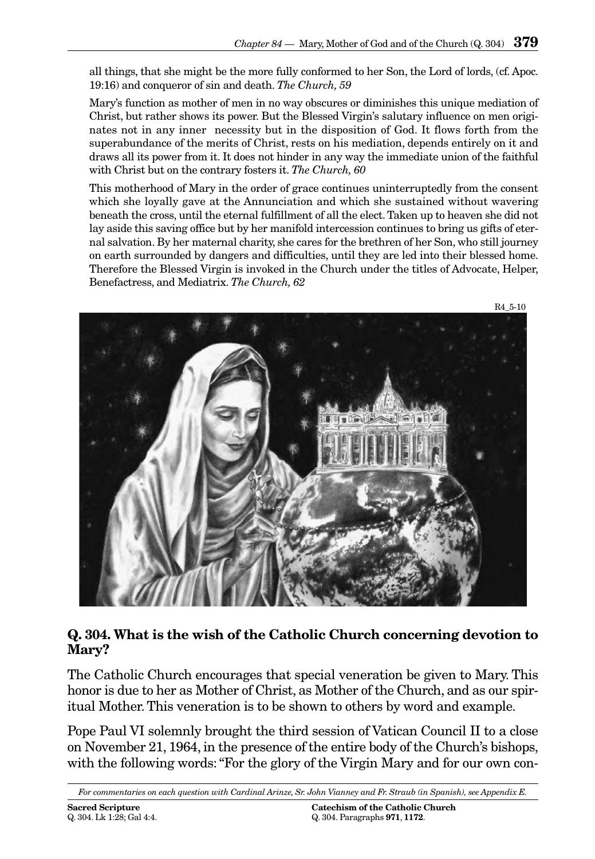all things, that she might be the more fully conformed to her Son, the Lord of lords, (cf. Apoc. 19:16) and conqueror of sin and death. *The Church, 59*

Mary's function as mother of men in no way obscures or diminishes this unique mediation of Christ, but rather shows its power. But the Blessed Virgin's salutary influence on men originates not in any inner necessity but in the disposition of God. It flows forth from the superabundance of the merits of Christ, rests on his mediation, depends entirely on it and draws all its power from it. It does not hinder in any way the immediate union of the faithful with Christ but on the contrary fosters it. *The Church, 60*

This motherhood of Mary in the order of grace continues uninterruptedly from the consent which she loyally gave at the Annunciation and which she sustained without wavering beneath the cross, until the eternal fulfillment of all the elect. Taken up to heaven she did not lay aside this saving office but by her manifold intercession continues to bring us gifts of eternal salvation. By her maternal charity, she cares for the brethren of her Son, who still journey on earth surrounded by dangers and difficulties, until they are led into their blessed home. Therefore the Blessed Virgin is invoked in the Church under the titles of Advocate, Helper, Benefactress, and Mediatrix. *The Church, 62*



## **Q. 304. What is the wish of the Catholic Church concerning devotion to Mary?**

The Catholic Church encourages that special veneration be given to Mary. This honor is due to her as Mother of Christ, as Mother of the Church, and as our spiritual Mother. This veneration is to be shown to others by word and example.

Pope Paul VI solemnly brought the third session of Vatican Council II to a close on November 21, 1964, in the presence of the entire body of the Church's bishops, with the following words: "For the glory of the Virgin Mary and for our own con-

*For commentaries on each question with Cardinal Arinze, Sr. John Vianney and Fr. Straub (in Spanish), see Appendix E.*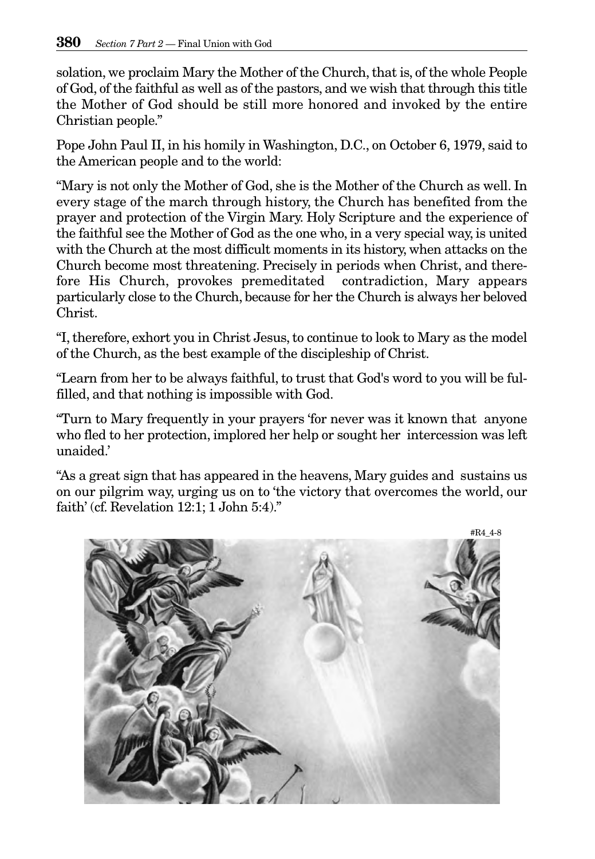solation, we proclaim Mary the Mother of the Church, that is, of the whole People of God, of the faithful as well as of the pastors, and we wish that through this title the Mother of God should be still more honored and invoked by the entire Christian people."

Pope John Paul II, in his homily in Washington, D.C., on October 6, 1979, said to the American people and to the world:

"Mary is not only the Mother of God, she is the Mother of the Church as well. In every stage of the march through history, the Church has benefited from the prayer and protection of the Virgin Mary. Holy Scripture and the experience of the faithful see the Mother of God as the one who, in a very special way, is united with the Church at the most difficult moments in its history, when attacks on the Church become most threatening. Precisely in periods when Christ, and therefore His Church, provokes premeditated contradiction, Mary appears particularly close to the Church, because for her the Church is always her beloved Christ.

"I, therefore, exhort you in Christ Jesus, to continue to look to Mary as the model of the Church, as the best example of the discipleship of Christ.

"Learn from her to be always faithful, to trust that God's word to you will be fulfilled, and that nothing is impossible with God.

"Turn to Mary frequently in your prayers 'for never was it known that anyone who fled to her protection, implored her help or sought her intercession was left unaided.'

"As a great sign that has appeared in the heavens, Mary guides and sustains us on our pilgrim way, urging us on to 'the victory that overcomes the world, our faith' (cf. Revelation 12:1; 1 John 5:4)."

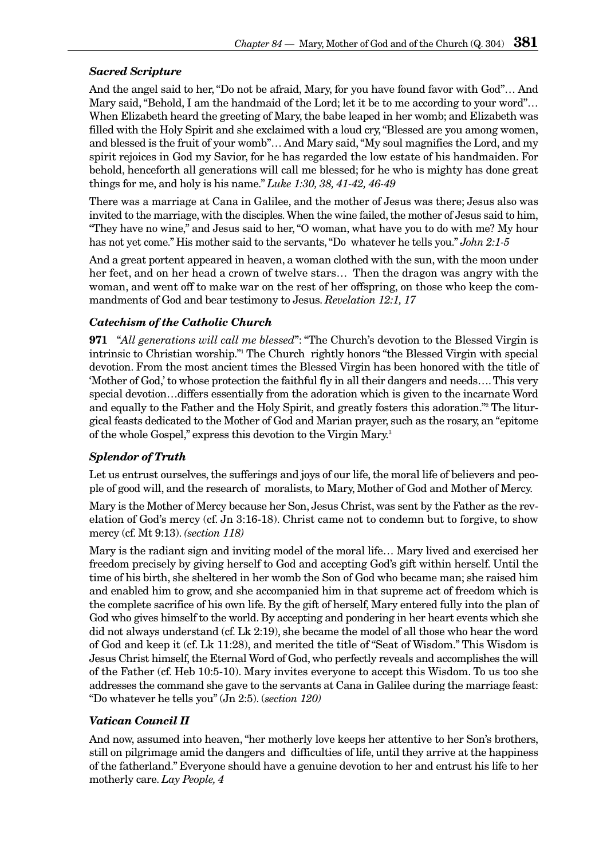#### *Sacred Scripture*

And the angel said to her, "Do not be afraid, Mary, for you have found favor with God"… And Mary said, "Behold, I am the handmaid of the Lord; let it be to me according to your word"… When Elizabeth heard the greeting of Mary, the babe leaped in her womb; and Elizabeth was filled with the Holy Spirit and she exclaimed with a loud cry, "Blessed are you among women, and blessed is the fruit of your womb"… And Mary said, "My soul magnifies the Lord, and my spirit rejoices in God my Savior, for he has regarded the low estate of his handmaiden. For behold, henceforth all generations will call me blessed; for he who is mighty has done great things for me, and holy is his name." *Luke 1:30, 38, 41-42, 46-49*

There was a marriage at Cana in Galilee, and the mother of Jesus was there; Jesus also was invited to the marriage, with the disciples.When the wine failed, the mother of Jesus said to him, "They have no wine," and Jesus said to her, "O woman, what have you to do with me? My hour has not yet come." His mother said to the servants, "Do whatever he tells you." *John 2:1-5*

And a great portent appeared in heaven, a woman clothed with the sun, with the moon under her feet, and on her head a crown of twelve stars… Then the dragon was angry with the woman, and went off to make war on the rest of her offspring, on those who keep the commandments of God and bear testimony to Jesus. *Revelation 12:1, 17*

#### *Catechism of the Catholic Church*

**971** "*All generations will call me blessed*": "The Church's devotion to the Blessed Virgin is intrinsic to Christian worship."1 The Church rightly honors "the Blessed Virgin with special devotion. From the most ancient times the Blessed Virgin has been honored with the title of 'Mother of God,' to whose protection the faithful fly in all their dangers and needs….This very special devotion…differs essentially from the adoration which is given to the incarnate Word and equally to the Father and the Holy Spirit, and greatly fosters this adoration."<sup>2</sup> The liturgical feasts dedicated to the Mother of God and Marian prayer, such as the rosary, an "epitome of the whole Gospel," express this devotion to the Virgin Mary.3

#### *Splendor of Truth*

Let us entrust ourselves, the sufferings and joys of our life, the moral life of believers and people of good will, and the research of moralists, to Mary, Mother of God and Mother of Mercy.

Mary is the Mother of Mercy because her Son, Jesus Christ, was sent by the Father as the revelation of God's mercy (cf. Jn 3:16-18). Christ came not to condemn but to forgive, to show mercy (cf. Mt 9:13). *(section 118)*

Mary is the radiant sign and inviting model of the moral life… Mary lived and exercised her freedom precisely by giving herself to God and accepting God's gift within herself. Until the time of his birth, she sheltered in her womb the Son of God who became man; she raised him and enabled him to grow, and she accompanied him in that supreme act of freedom which is the complete sacrifice of his own life. By the gift of herself, Mary entered fully into the plan of God who gives himself to the world. By accepting and pondering in her heart events which she did not always understand (cf. Lk 2:19), she became the model of all those who hear the word of God and keep it (cf. Lk 11:28), and merited the title of "Seat of Wisdom." This Wisdom is Jesus Christ himself, the Eternal Word of God, who perfectly reveals and accomplishes the will of the Father (cf. Heb 10:5-10). Mary invites everyone to accept this Wisdom. To us too she addresses the command she gave to the servants at Cana in Galilee during the marriage feast: "Do whatever he tells you" (Jn 2:5). (*section 120)*

#### *Vatican Council II*

And now, assumed into heaven, "her motherly love keeps her attentive to her Son's brothers, still on pilgrimage amid the dangers and difficulties of life, until they arrive at the happiness of the fatherland." Everyone should have a genuine devotion to her and entrust his life to her motherly care. *Lay People, 4*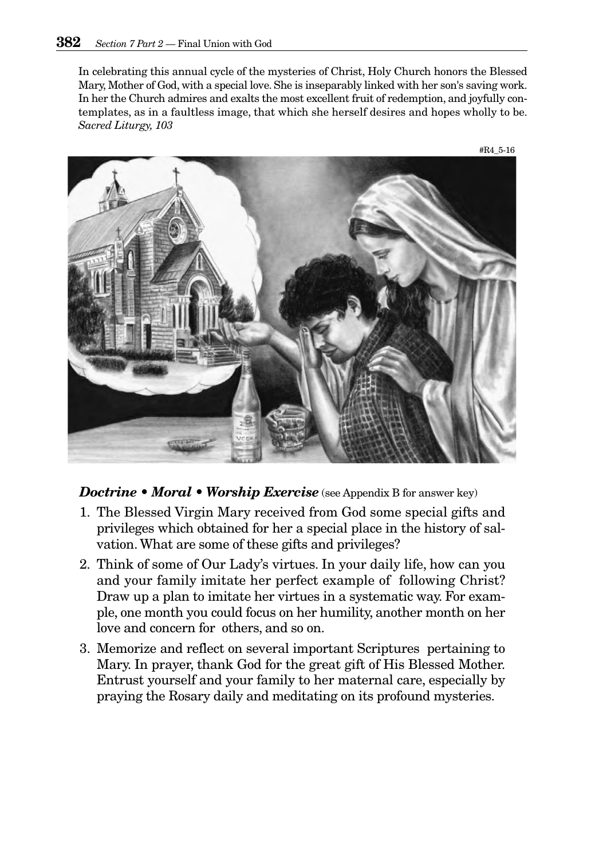In celebrating this annual cycle of the mysteries of Christ, Holy Church honors the Blessed Mary, Mother of God, with a special love. She is inseparably linked with her son's saving work. In her the Church admires and exalts the most excellent fruit of redemption, and joyfully contemplates, as in a faultless image, that which she herself desires and hopes wholly to be. *Sacred Liturgy, 103*



## *Doctrine • Moral • Worship Exercise* (see Appendix B for answer key)

- 1. The Blessed Virgin Mary received from God some special gifts and privileges which obtained for her a special place in the history of salvation. What are some of these gifts and privileges?
- 2. Think of some of Our Lady's virtues. In your daily life, how can you and your family imitate her perfect example of following Christ? Draw up a plan to imitate her virtues in a systematic way. For example, one month you could focus on her humility, another month on her love and concern for others, and so on.
- 3. Memorize and reflect on several important Scriptures pertaining to Mary. In prayer, thank God for the great gift of His Blessed Mother. Entrust yourself and your family to her maternal care, especially by praying the Rosary daily and meditating on its profound mysteries.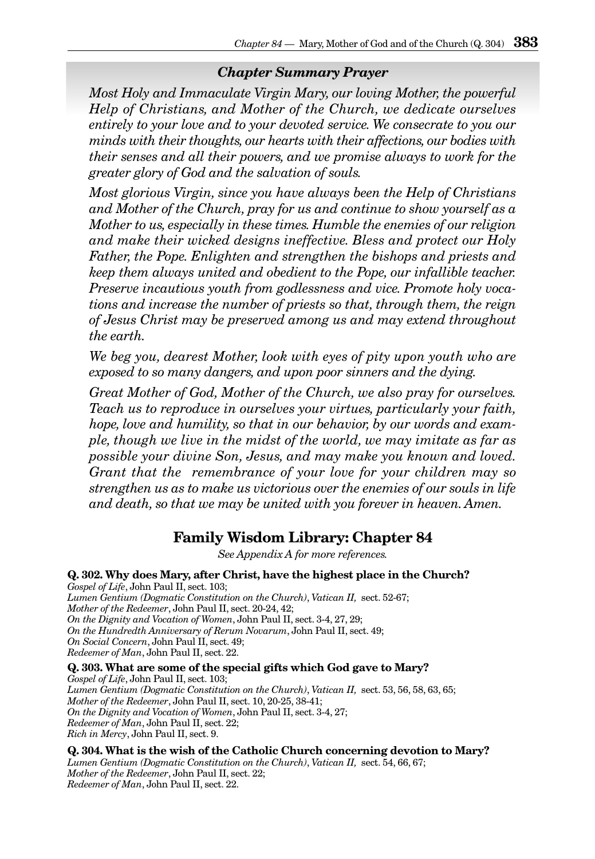## *Chapter Summary Prayer*

*Most Holy and Immaculate Virgin Mary, our loving Mother, the powerful Help of Christians, and Mother of the Church, we dedicate ourselves entirely to your love and to your devoted service. We consecrate to you our minds with their thoughts, our hearts with their affections, our bodies with their senses and all their powers, and we promise always to work for the greater glory of God and the salvation of souls.*

*Most glorious Virgin, since you have always been the Help of Christians and Mother of the Church, pray for us and continue to show yourself as a Mother to us, especially in these times. Humble the enemies of our religion and make their wicked designs ineffective. Bless and protect our Holy Father, the Pope. Enlighten and strengthen the bishops and priests and keep them always united and obedient to the Pope, our infallible teacher. Preserve incautious youth from godlessness and vice. Promote holy vocations and increase the number of priests so that, through them, the reign of Jesus Christ may be preserved among us and may extend throughout the earth.*

*We beg you, dearest Mother, look with eyes of pity upon youth who are exposed to so many dangers, and upon poor sinners and the dying.*

*Great Mother of God, Mother of the Church, we also pray for ourselves. Teach us to reproduce in ourselves your virtues, particularly your faith, hope, love and humility, so that in our behavior, by our words and example, though we live in the midst of the world, we may imitate as far as possible your divine Son, Jesus, and may make you known and loved. Grant that the remembrance of your love for your children may so strengthen us as to make us victorious over the enemies of our souls in life and death, so that we may be united with you forever in heaven. Amen.*

## **Family Wisdom Library: Chapter 84**

*See Appendix A for more references.*

## **Q. 302. Why does Mary, after Christ, have the highest place in the Church?** *Gospel of Life*, John Paul II, sect. 103;

*Lumen Gentium (Dogmatic Constitution on the Church)*, *Vatican II,* sect. 52-67; *Mother of the Redeemer*, John Paul II, sect. 20-24, 42; *On the Dignity and Vocation of Women*, John Paul II, sect. 3-4, 27, 29; *On the Hundredth Anniversary of Rerum Novarum*, John Paul II, sect. 49; *On Social Concern*, John Paul II, sect. 49; *Redeemer of Man*, John Paul II, sect. 22.

**Q. 303. What are some of the special gifts which God gave to Mary?** *Gospel of Life*, John Paul II, sect. 103; *Lumen Gentium (Dogmatic Constitution on the Church)*, *Vatican II,* sect. 53, 56, 58, 63, 65; *Mother of the Redeemer*, John Paul II, sect. 10, 20-25, 38-41; *On the Dignity and Vocation of Women*, John Paul II, sect. 3-4, 27; *Redeemer of Man*, John Paul II, sect. 22; *Rich in Mercy*, John Paul II, sect. 9.

**Q. 304. What is the wish of the Catholic Church concerning devotion to Mary?** *Lumen Gentium (Dogmatic Constitution on the Church)*, *Vatican II,* sect. 54, 66, 67; *Mother of the Redeemer*, John Paul II, sect. 22; *Redeemer of Man*, John Paul II, sect. 22.